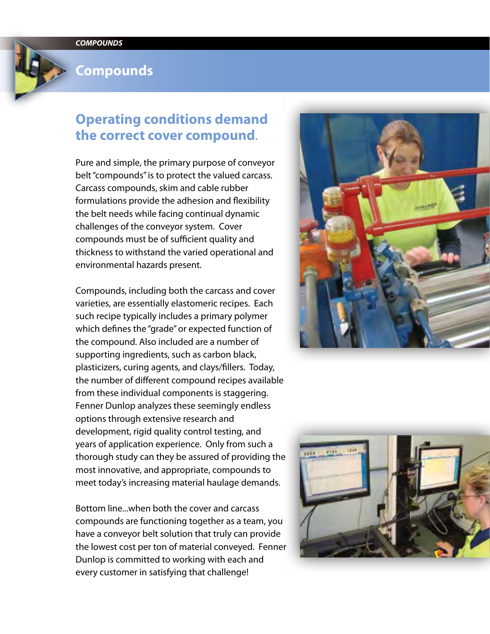#### *COMPOUNDS*

### **Compounds**

# **Operating conditions demand the correct cover compound.**

Pure and simple, the primary purpose of conveyor belt "compounds" is to protect the valued carcass. Carcass compounds, skim and cable rubber formulations provide the adhesion and flexibility the belt needs while facing continual dynamic challenges of the conveyor system. Cover compounds must be of sufficient quality and thickness to withstand the varied operational and environmental hazards present.

Compounds, including both the carcass and cover varieties, are essentially elastomeric recipes. Each such recipe typically includes a primary polymer which defines the "grade" or expected function of the compound. Also included are a number of supporting ingredients, such as carbon black, plasticizers, curing agents, and clays/fillers. Today, the number of different compound recipes available from these individual components is staggering. Fenner Dunlop analyzes these seemingly endless options through extensive research and development, rigid quality control testing, and years of application experience. Only from such a thorough study can they be assured of providing the most innovative, and appropriate, compounds to meet today's increasing material haulage demands.

Bottom line...when both the cover and carcass compounds are functioning together as a team, you have a conveyor belt solution that truly can provide the lowest cost per ton of material conveyed. Fenner Dunlop is committed to working with each and every customer in satisfying that challenge!



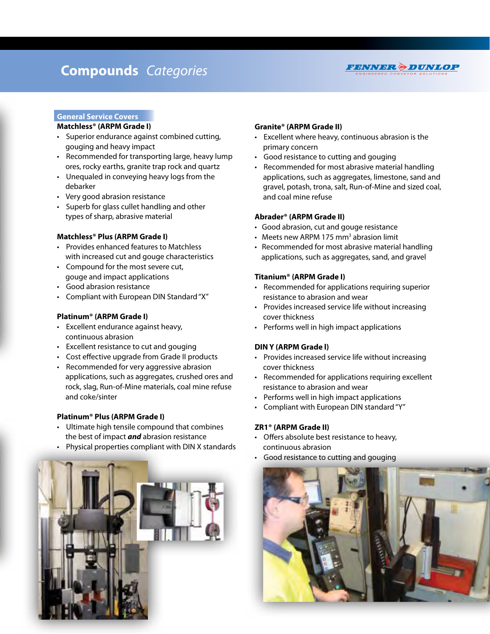# **Compounds** *Categories*



#### **General Service Covers**

#### **Matchless® (ARPM Grade I)**

- Superior endurance against combined cutting, gouging and heavy impact
- Recommended for transporting large, heavy lump ores, rocky earths, granite trap rock and quartz
- Unequaled in conveying heavy logs from the debarker
- Very good abrasion resistance
- Superb for glass cullet handling and other types of sharp, abrasive material

#### **Matchless® Plus (ARPM Grade I)**

- Provides enhanced features to Matchless with increased cut and gouge characteristics
- Compound for the most severe cut, gouge and impact applications
- Good abrasion resistance
- Compliant with European DIN Standard "X"

#### **Platinum® (ARPM Grade I)**

- Excellent endurance against heavy, continuous abrasion
- Excellent resistance to cut and gouging
- Cost effective upgrade from Grade II products
- Recommended for very aggressive abrasion applications, such as aggregates, crushed ores and rock, slag, Run-of-Mine materials, coal mine refuse and coke/sinter

#### **Platinum® Plus (ARPM Grade I)**

- Ultimate high tensile compound that combines the best of impact *and* abrasion resistance
- Physical properties compliant with DIN X standards



#### **Granite® (ARPM Grade II)**

- Excellent where heavy, continuous abrasion is the primary concern
- Good resistance to cutting and gouging
- Recommended for most abrasive material handling applications, such as aggregates, limestone, sand and gravel, potash, trona, salt, Run-of-Mine and sized coal, and coal mine refuse

#### **Abrader® (ARPM Grade II)**

- Good abrasion, cut and gouge resistance
- Meets new ARPM 175 mm<sup>3</sup> abrasion limit
- Recommended for most abrasive material handling applications, such as aggregates, sand, and gravel

#### **Titanium® (ARPM Grade I)**

- Recommended for applications requiring superior resistance to abrasion and wear
- Provides increased service life without increasing cover thickness
- Performs well in high impact applications

#### **DIN Y (ARPM Grade l)**

- Provides increased service life without increasing cover thickness
- Recommended for applications requiring excellent resistance to abrasion and wear
- Performs well in high impact applications
- Compliant with European DIN standard "Y"

#### **ZR1® (ARPM Grade II)**

- Offers absolute best resistance to heavy, continuous abrasion
- Good resistance to cutting and gouging